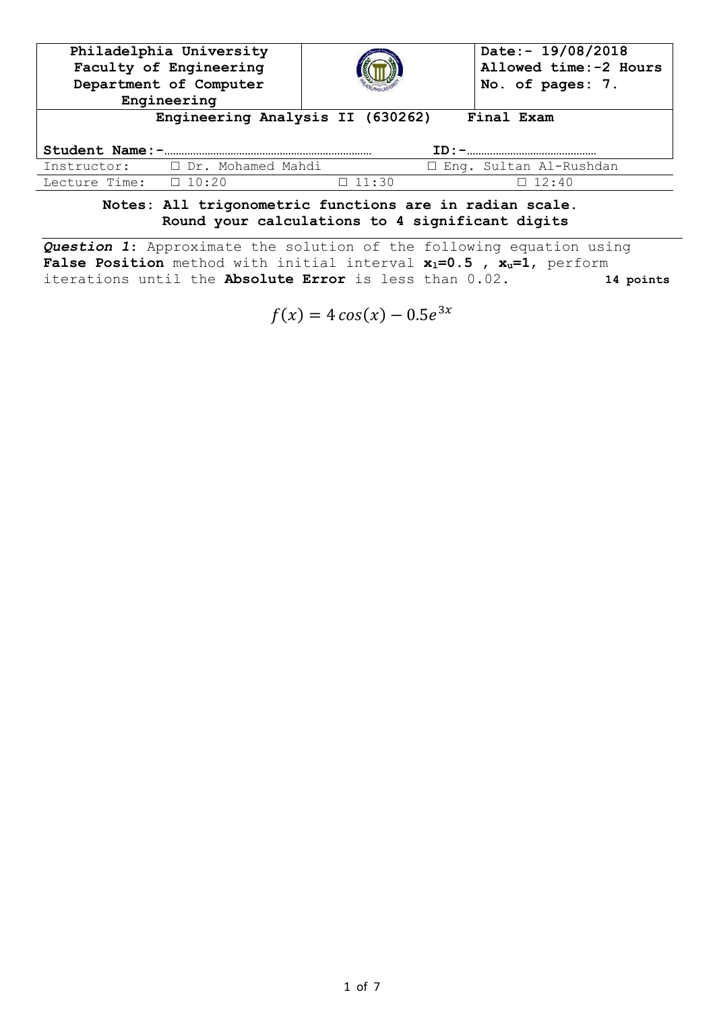| Philadelphia University<br>Faculty of Engineering<br>Department of Computer<br>Engineering |                     |              | Date:- 19/08/2018<br>Allowed time: -2 Hours<br>No. of pages: 7. |  |  |  |
|--------------------------------------------------------------------------------------------|---------------------|--------------|-----------------------------------------------------------------|--|--|--|
| Engineering Analysis II (630262)<br>Final Exam                                             |                     |              |                                                                 |  |  |  |
| Student Name: -                                                                            |                     |              |                                                                 |  |  |  |
| Instructor:                                                                                | □ Dr. Mohamed Mahdi |              | □ Eng. Sultan Al-Rushdan                                        |  |  |  |
| Lecture Time:                                                                              | $\Box$ 10:20        | $\Box$ 11:30 | $\Box$ 12:40                                                    |  |  |  |
|                                                                                            |                     |              | Mahaa, 511 hulmananahula funahiana aus in usdian saala          |  |  |  |

**Notes: All trigonometric functions are in radian scale. Round your calculations to 4 significant digits**

*Question 1*: Approximate the solution of the following equation using **False Position** method with initial interval **xl=0.5 , xu=1**, perform iterations until the **Absolute Error** is less than 0.02. **14 points**

 $f(x) = 4 \cos(x) - 0.5e^3$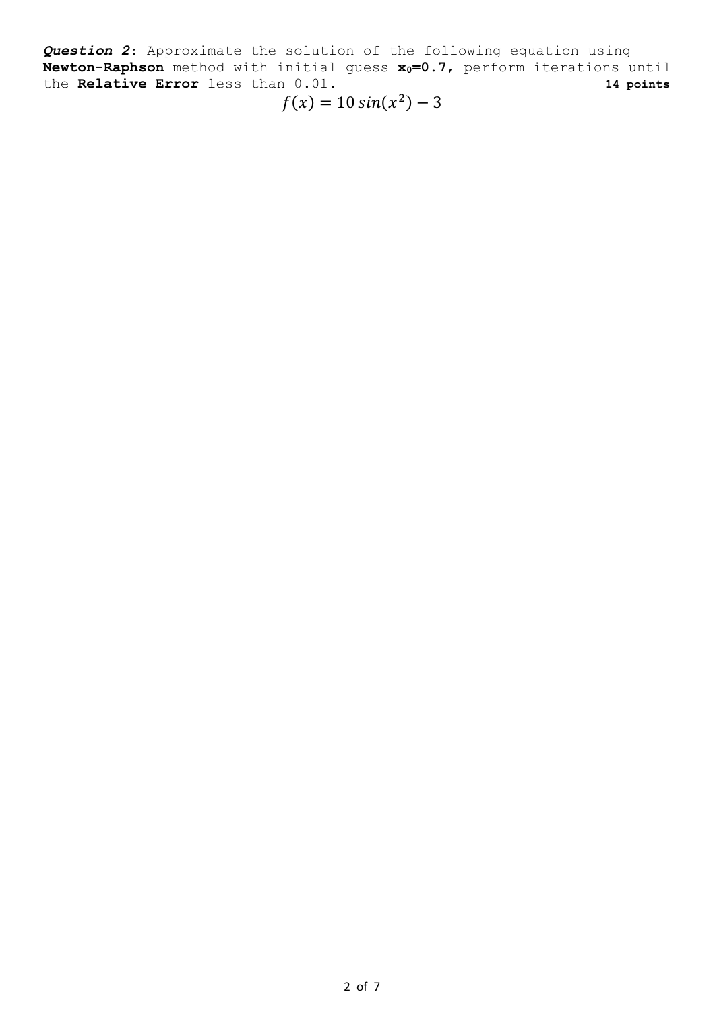*Question 2*: Approximate the solution of the following equation using **Newton-Raphson** method with initial guess **x0=0.7**, perform iterations until the **Relative Error** less than 0.01. **14 points**

$$
f(x) = 10\sin(x^2) - 3
$$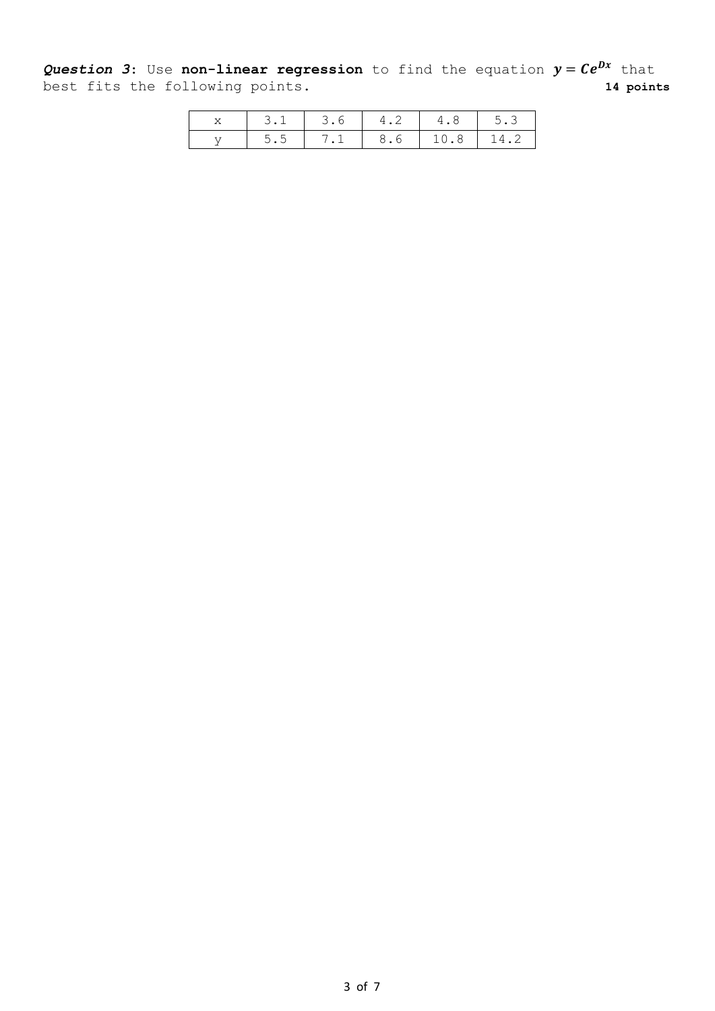**Question 3:** Use non-linear regression to find the equation  $y = Ce^{Dx}$  that best fits the following points. **14 points**

|  | 3.1   3.6   4.2   4.8   5.3     |  |  |
|--|---------------------------------|--|--|
|  | $5.5$   7.1   8.6   10.8   14.2 |  |  |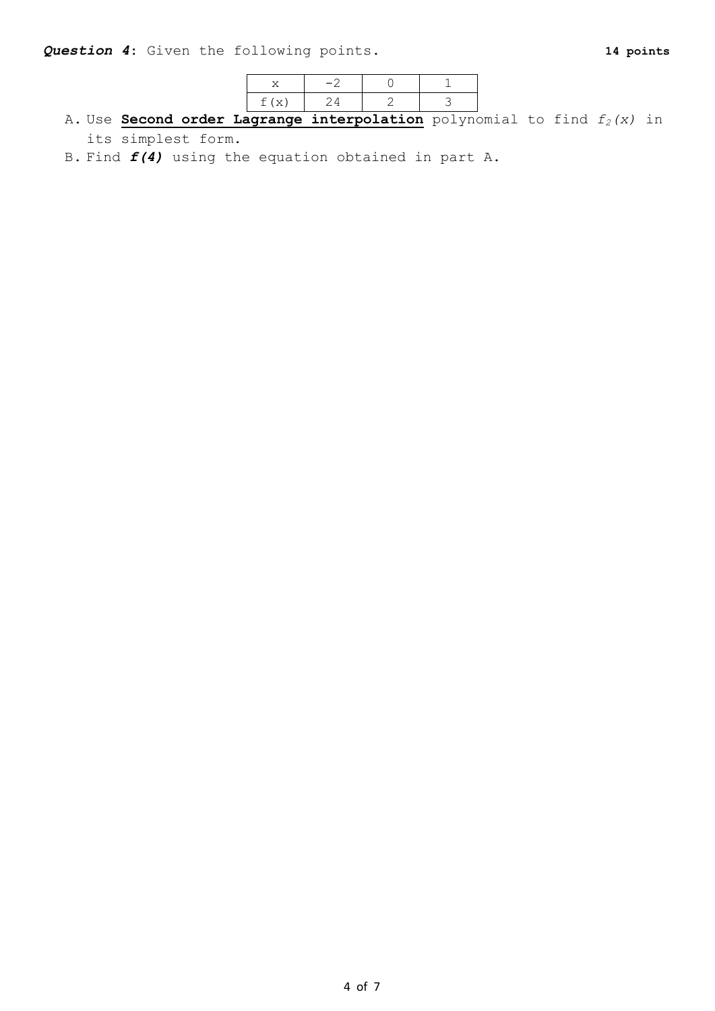| $\top$ ( $\times$ ) |  |  |
|---------------------|--|--|

A. Use **Second order Lagrange interpolation** polynomial to find *f2(x)* in its simplest form.

B. Find *f(4)* using the equation obtained in part A.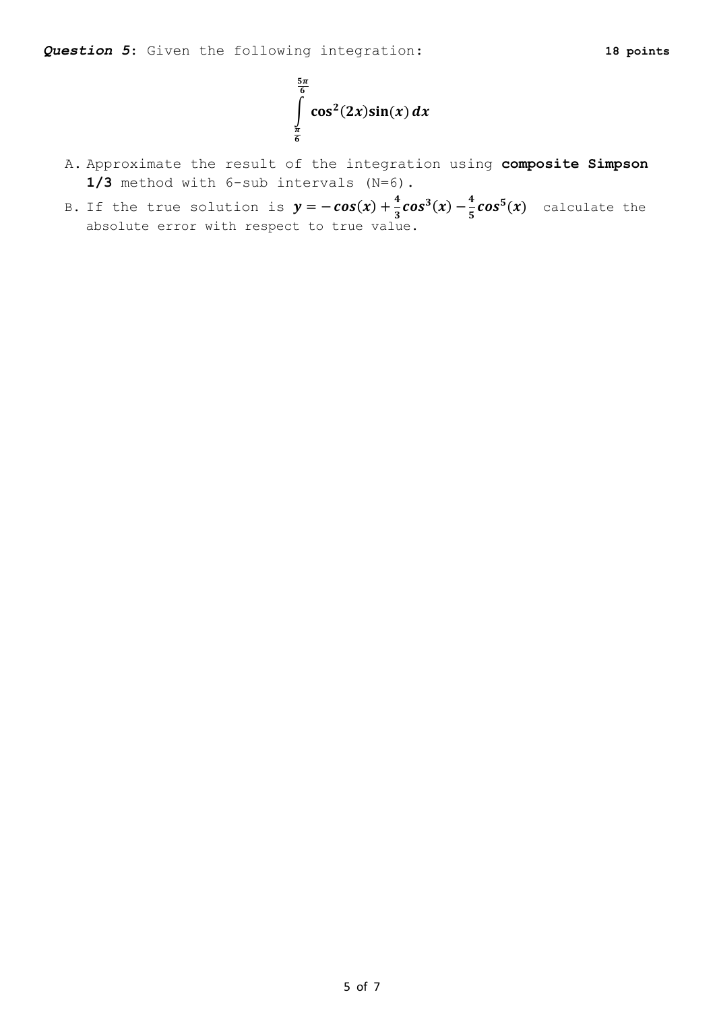

- A. Approximate the result of the integration using **composite Simpson 1/3** method with 6-sub intervals (N=6).
- B. If the true solution is  $y = -cos(x) + \frac{4}{3}$  $\frac{4}{3}cos^3(x) - \frac{4}{5}$  $\frac{1}{5}cos^5(x)$  calculate the absolute error with respect to true value.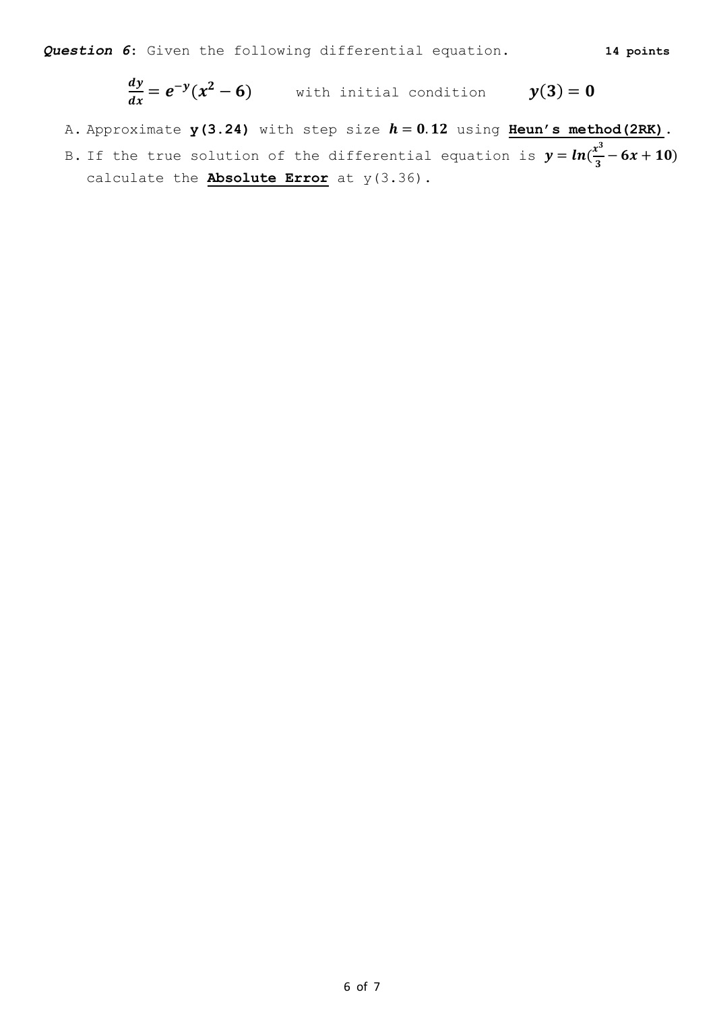$$
\frac{dy}{dx} = e^{-y}(x^2 - 6)
$$
 with initial condition  $y(3) = 0$ 

- A. Approximate  $y(3.24)$  with step size  $h = 0.12$  using **Heun's method** (2RK).
- B. If the true solution of the differential equation is  $y = ln(\frac{x^3}{2})$  $\frac{x}{3}$  – 6x + 10) calculate the **Absolute Error** at y(3.36).